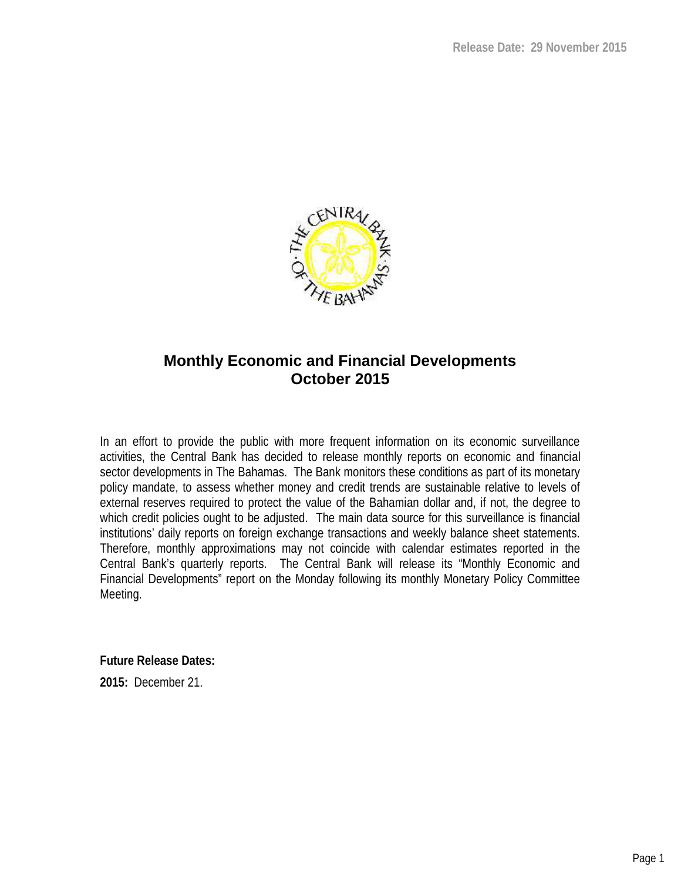

## **Monthly Economic and Financial Developments October 2015**

In an effort to provide the public with more frequent information on its economic surveillance activities, the Central Bank has decided to release monthly reports on economic and financial sector developments in The Bahamas. The Bank monitors these conditions as part of its monetary policy mandate, to assess whether money and credit trends are sustainable relative to levels of external reserves required to protect the value of the Bahamian dollar and, if not, the degree to which credit policies ought to be adjusted. The main data source for this surveillance is financial institutions' daily reports on foreign exchange transactions and weekly balance sheet statements. Therefore, monthly approximations may not coincide with calendar estimates reported in the Central Bank's quarterly reports. The Central Bank will release its "Monthly Economic and Financial Developments" report on the Monday following its monthly Monetary Policy Committee Meeting.

**Future Release Dates:**

**2015:** December 21.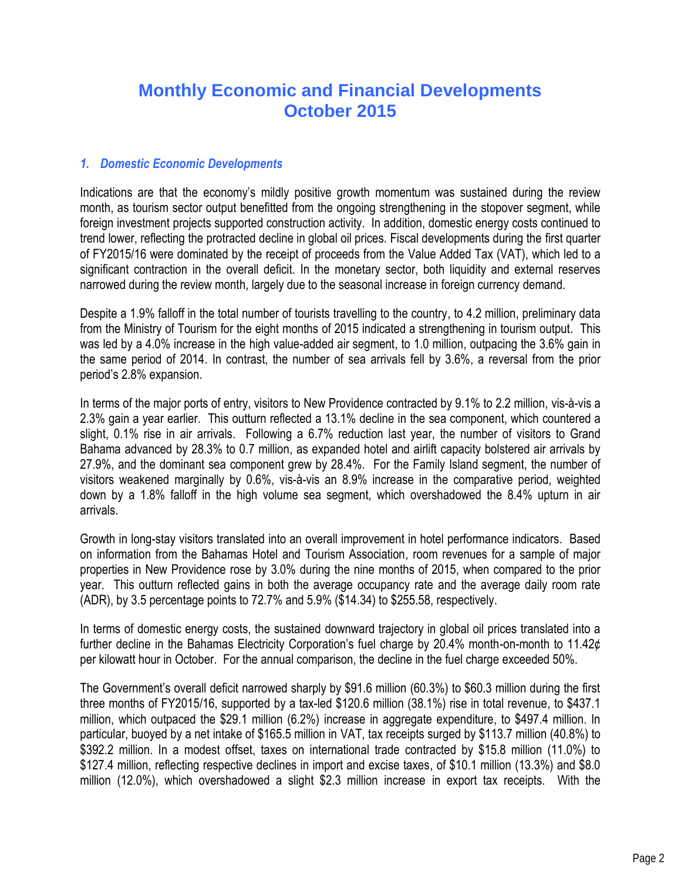# **Monthly Economic and Financial Developments October 2015**

#### *1. Domestic Economic Developments*

Indications are that the economy's mildly positive growth momentum was sustained during the review month, as tourism sector output benefitted from the ongoing strengthening in the stopover segment, while foreign investment projects supported construction activity. In addition, domestic energy costs continued to trend lower, reflecting the protracted decline in global oil prices. Fiscal developments during the first quarter of FY2015/16 were dominated by the receipt of proceeds from the Value Added Tax (VAT), which led to a significant contraction in the overall deficit. In the monetary sector, both liquidity and external reserves narrowed during the review month, largely due to the seasonal increase in foreign currency demand.

Despite a 1.9% falloff in the total number of tourists travelling to the country, to 4.2 million, preliminary data from the Ministry of Tourism for the eight months of 2015 indicated a strengthening in tourism output. This was led by a 4.0% increase in the high value-added air segment, to 1.0 million, outpacing the 3.6% gain in the same period of 2014. In contrast, the number of sea arrivals fell by 3.6%, a reversal from the prior period's 2.8% expansion.

In terms of the major ports of entry, visitors to New Providence contracted by 9.1% to 2.2 million, vis-à-vis a 2.3% gain a year earlier. This outturn reflected a 13.1% decline in the sea component, which countered a slight, 0.1% rise in air arrivals. Following a 6.7% reduction last year, the number of visitors to Grand Bahama advanced by 28.3% to 0.7 million, as expanded hotel and airlift capacity bolstered air arrivals by 27.9%, and the dominant sea component grew by 28.4%. For the Family Island segment, the number of visitors weakened marginally by 0.6%, vis-à-vis an 8.9% increase in the comparative period, weighted down by a 1.8% falloff in the high volume sea segment, which overshadowed the 8.4% upturn in air arrivals.

Growth in long-stay visitors translated into an overall improvement in hotel performance indicators. Based on information from the Bahamas Hotel and Tourism Association, room revenues for a sample of major properties in New Providence rose by 3.0% during the nine months of 2015, when compared to the prior year. This outturn reflected gains in both the average occupancy rate and the average daily room rate (ADR), by 3.5 percentage points to 72.7% and 5.9% (\$14.34) to \$255.58, respectively.

In terms of domestic energy costs, the sustained downward trajectory in global oil prices translated into a further decline in the Bahamas Electricity Corporation's fuel charge by 20.4% month-on-month to 11.42¢ per kilowatt hour in October. For the annual comparison, the decline in the fuel charge exceeded 50%.

The Government's overall deficit narrowed sharply by \$91.6 million (60.3%) to \$60.3 million during the first three months of FY2015/16, supported by a tax-led \$120.6 million (38.1%) rise in total revenue, to \$437.1 million, which outpaced the \$29.1 million (6.2%) increase in aggregate expenditure, to \$497.4 million. In particular, buoyed by a net intake of \$165.5 million in VAT, tax receipts surged by \$113.7 million (40.8%) to \$392.2 million. In a modest offset, taxes on international trade contracted by \$15.8 million (11.0%) to \$127.4 million, reflecting respective declines in import and excise taxes, of \$10.1 million (13.3%) and \$8.0 million (12.0%), which overshadowed a slight \$2.3 million increase in export tax receipts. With the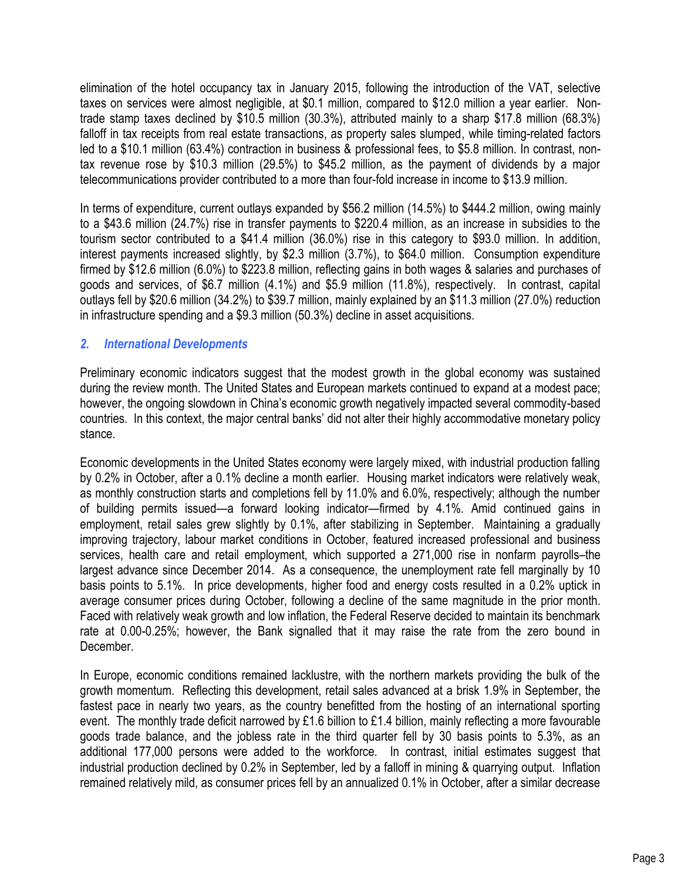elimination of the hotel occupancy tax in January 2015, following the introduction of the VAT, selective taxes on services were almost negligible, at \$0.1 million, compared to \$12.0 million a year earlier. Nontrade stamp taxes declined by \$10.5 million (30.3%), attributed mainly to a sharp \$17.8 million (68.3%) falloff in tax receipts from real estate transactions, as property sales slumped, while timing-related factors led to a \$10.1 million (63.4%) contraction in business & professional fees, to \$5.8 million. In contrast, nontax revenue rose by \$10.3 million (29.5%) to \$45.2 million, as the payment of dividends by a major telecommunications provider contributed to a more than four-fold increase in income to \$13.9 million.

In terms of expenditure, current outlays expanded by \$56.2 million (14.5%) to \$444.2 million, owing mainly to a \$43.6 million (24.7%) rise in transfer payments to \$220.4 million, as an increase in subsidies to the tourism sector contributed to a \$41.4 million (36.0%) rise in this category to \$93.0 million. In addition, interest payments increased slightly, by \$2.3 million (3.7%), to \$64.0 million. Consumption expenditure firmed by \$12.6 million (6.0%) to \$223.8 million, reflecting gains in both wages & salaries and purchases of goods and services, of \$6.7 million (4.1%) and \$5.9 million (11.8%), respectively. In contrast, capital outlays fell by \$20.6 million (34.2%) to \$39.7 million, mainly explained by an \$11.3 million (27.0%) reduction in infrastructure spending and a \$9.3 million (50.3%) decline in asset acquisitions.

#### *2. International Developments*

Preliminary economic indicators suggest that the modest growth in the global economy was sustained during the review month. The United States and European markets continued to expand at a modest pace; however, the ongoing slowdown in China's economic growth negatively impacted several commodity-based countries. In this context, the major central banks' did not alter their highly accommodative monetary policy stance.

Economic developments in the United States economy were largely mixed, with industrial production falling by 0.2% in October, after a 0.1% decline a month earlier. Housing market indicators were relatively weak, as monthly construction starts and completions fell by 11.0% and 6.0%, respectively; although the number of building permits issued—a forward looking indicator—firmed by 4.1%. Amid continued gains in employment, retail sales grew slightly by 0.1%, after stabilizing in September. Maintaining a gradually improving trajectory, labour market conditions in October, featured increased professional and business services, health care and retail employment, which supported a 271,000 rise in nonfarm payrolls–the largest advance since December 2014. As a consequence, the unemployment rate fell marginally by 10 basis points to 5.1%. In price developments, higher food and energy costs resulted in a 0.2% uptick in average consumer prices during October, following a decline of the same magnitude in the prior month. Faced with relatively weak growth and low inflation, the Federal Reserve decided to maintain its benchmark rate at 0.00-0.25%; however, the Bank signalled that it may raise the rate from the zero bound in December.

In Europe, economic conditions remained lacklustre, with the northern markets providing the bulk of the growth momentum. Reflecting this development, retail sales advanced at a brisk 1.9% in September, the fastest pace in nearly two years, as the country benefitted from the hosting of an international sporting event. The monthly trade deficit narrowed by £1.6 billion to £1.4 billion, mainly reflecting a more favourable goods trade balance, and the jobless rate in the third quarter fell by 30 basis points to 5.3%, as an additional 177,000 persons were added to the workforce. In contrast, initial estimates suggest that industrial production declined by 0.2% in September, led by a falloff in mining & quarrying output. Inflation remained relatively mild, as consumer prices fell by an annualized 0.1% in October, after a similar decrease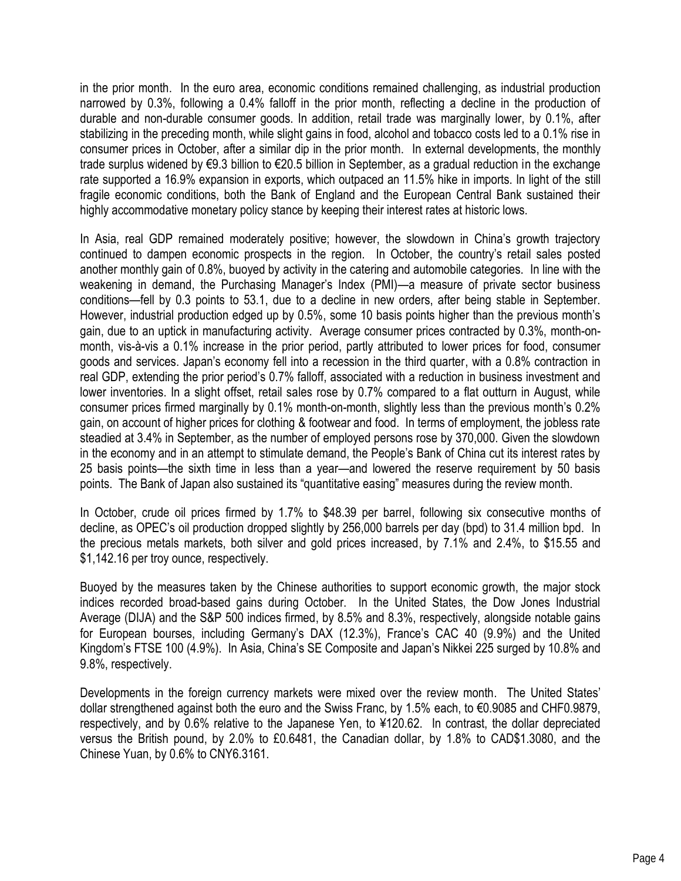in the prior month. In the euro area, economic conditions remained challenging, as industrial production narrowed by 0.3%, following a 0.4% falloff in the prior month, reflecting a decline in the production of durable and non-durable consumer goods. In addition, retail trade was marginally lower, by 0.1%, after stabilizing in the preceding month, while slight gains in food, alcohol and tobacco costs led to a 0.1% rise in consumer prices in October, after a similar dip in the prior month. In external developments, the monthly trade surplus widened by €9.3 billion to €20.5 billion in September, as a gradual reduction in the exchange rate supported a 16.9% expansion in exports, which outpaced an 11.5% hike in imports. In light of the still fragile economic conditions, both the Bank of England and the European Central Bank sustained their highly accommodative monetary policy stance by keeping their interest rates at historic lows.

In Asia, real GDP remained moderately positive; however, the slowdown in China's growth trajectory continued to dampen economic prospects in the region. In October, the country's retail sales posted another monthly gain of 0.8%, buoyed by activity in the catering and automobile categories. In line with the weakening in demand, the Purchasing Manager's Index (PMI)—a measure of private sector business conditions—fell by 0.3 points to 53.1, due to a decline in new orders, after being stable in September. However, industrial production edged up by 0.5%, some 10 basis points higher than the previous month's gain, due to an uptick in manufacturing activity. Average consumer prices contracted by 0.3%, month-onmonth, vis-à-vis a 0.1% increase in the prior period, partly attributed to lower prices for food, consumer goods and services. Japan's economy fell into a recession in the third quarter, with a 0.8% contraction in real GDP, extending the prior period's 0.7% falloff, associated with a reduction in business investment and lower inventories. In a slight offset, retail sales rose by 0.7% compared to a flat outturn in August, while consumer prices firmed marginally by 0.1% month-on-month, slightly less than the previous month's 0.2% gain, on account of higher prices for clothing & footwear and food. In terms of employment, the jobless rate steadied at 3.4% in September, as the number of employed persons rose by 370,000. Given the slowdown in the economy and in an attempt to stimulate demand, the People's Bank of China cut its interest rates by 25 basis points—the sixth time in less than a year—and lowered the reserve requirement by 50 basis points. The Bank of Japan also sustained its "quantitative easing" measures during the review month.

In October, crude oil prices firmed by 1.7% to \$48.39 per barrel, following six consecutive months of decline, as OPEC's oil production dropped slightly by 256,000 barrels per day (bpd) to 31.4 million bpd. In the precious metals markets, both silver and gold prices increased, by 7.1% and 2.4%, to \$15.55 and \$1,142.16 per troy ounce, respectively.

Buoyed by the measures taken by the Chinese authorities to support economic growth, the major stock indices recorded broad-based gains during October. In the United States, the Dow Jones Industrial Average (DIJA) and the S&P 500 indices firmed, by 8.5% and 8.3%, respectively, alongside notable gains for European bourses, including Germany's DAX (12.3%), France's CAC 40 (9.9%) and the United Kingdom's FTSE 100 (4.9%). In Asia, China's SE Composite and Japan's Nikkei 225 surged by 10.8% and 9.8%, respectively.

Developments in the foreign currency markets were mixed over the review month. The United States' dollar strengthened against both the euro and the Swiss Franc, by 1.5% each, to €0.9085 and CHF0.9879, respectively, and by 0.6% relative to the Japanese Yen, to ¥120.62. In contrast, the dollar depreciated versus the British pound, by 2.0% to £0.6481, the Canadian dollar, by 1.8% to CAD\$1.3080, and the Chinese Yuan, by 0.6% to CNY6.3161.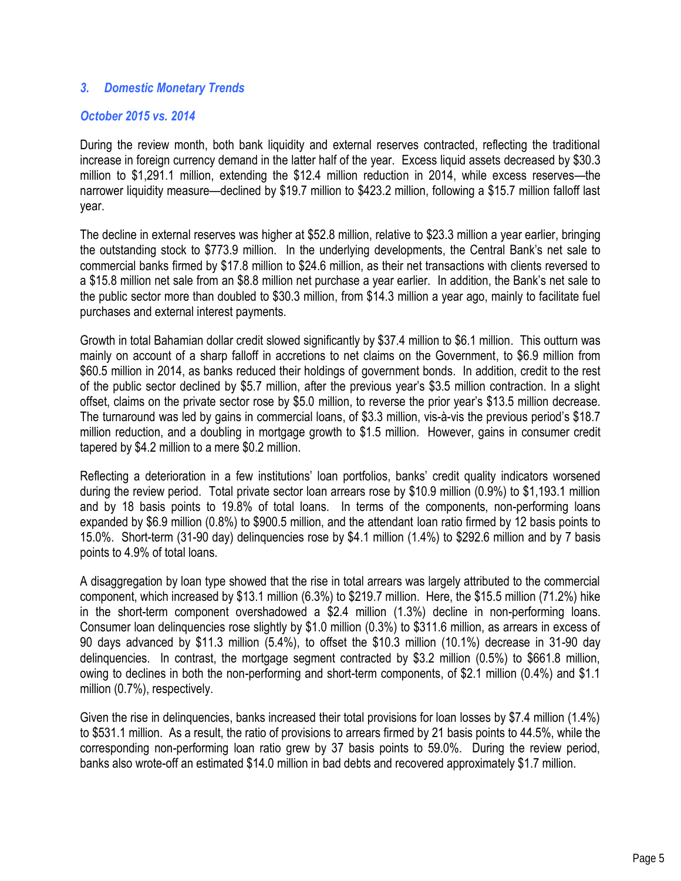#### *3. Domestic Monetary Trends*

#### *October 2015 vs. 2014*

During the review month, both bank liquidity and external reserves contracted, reflecting the traditional increase in foreign currency demand in the latter half of the year. Excess liquid assets decreased by \$30.3 million to \$1,291.1 million, extending the \$12.4 million reduction in 2014, while excess reserves—the narrower liquidity measure—declined by \$19.7 million to \$423.2 million, following a \$15.7 million falloff last year.

The decline in external reserves was higher at \$52.8 million, relative to \$23.3 million a year earlier, bringing the outstanding stock to \$773.9 million. In the underlying developments, the Central Bank's net sale to commercial banks firmed by \$17.8 million to \$24.6 million, as their net transactions with clients reversed to a \$15.8 million net sale from an \$8.8 million net purchase a year earlier. In addition, the Bank's net sale to the public sector more than doubled to \$30.3 million, from \$14.3 million a year ago, mainly to facilitate fuel purchases and external interest payments.

Growth in total Bahamian dollar credit slowed significantly by \$37.4 million to \$6.1 million. This outturn was mainly on account of a sharp falloff in accretions to net claims on the Government, to \$6.9 million from \$60.5 million in 2014, as banks reduced their holdings of government bonds. In addition, credit to the rest of the public sector declined by \$5.7 million, after the previous year's \$3.5 million contraction. In a slight offset, claims on the private sector rose by \$5.0 million, to reverse the prior year's \$13.5 million decrease. The turnaround was led by gains in commercial loans, of \$3.3 million, vis-à-vis the previous period's \$18.7 million reduction, and a doubling in mortgage growth to \$1.5 million. However, gains in consumer credit tapered by \$4.2 million to a mere \$0.2 million.

Reflecting a deterioration in a few institutions' loan portfolios, banks' credit quality indicators worsened during the review period. Total private sector loan arrears rose by \$10.9 million (0.9%) to \$1,193.1 million and by 18 basis points to 19.8% of total loans. In terms of the components, non-performing loans expanded by \$6.9 million (0.8%) to \$900.5 million, and the attendant loan ratio firmed by 12 basis points to 15.0%. Short-term (31-90 day) delinquencies rose by \$4.1 million (1.4%) to \$292.6 million and by 7 basis points to 4.9% of total loans.

A disaggregation by loan type showed that the rise in total arrears was largely attributed to the commercial component, which increased by \$13.1 million (6.3%) to \$219.7 million. Here, the \$15.5 million (71.2%) hike in the short-term component overshadowed a \$2.4 million (1.3%) decline in non-performing loans. Consumer loan delinquencies rose slightly by \$1.0 million (0.3%) to \$311.6 million, as arrears in excess of 90 days advanced by \$11.3 million (5.4%), to offset the \$10.3 million (10.1%) decrease in 31-90 day delinquencies. In contrast, the mortgage segment contracted by \$3.2 million (0.5%) to \$661.8 million, owing to declines in both the non-performing and short-term components, of \$2.1 million (0.4%) and \$1.1 million (0.7%), respectively.

Given the rise in delinquencies, banks increased their total provisions for loan losses by \$7.4 million (1.4%) to \$531.1 million. As a result, the ratio of provisions to arrears firmed by 21 basis points to 44.5%, while the corresponding non-performing loan ratio grew by 37 basis points to 59.0%. During the review period, banks also wrote-off an estimated \$14.0 million in bad debts and recovered approximately \$1.7 million.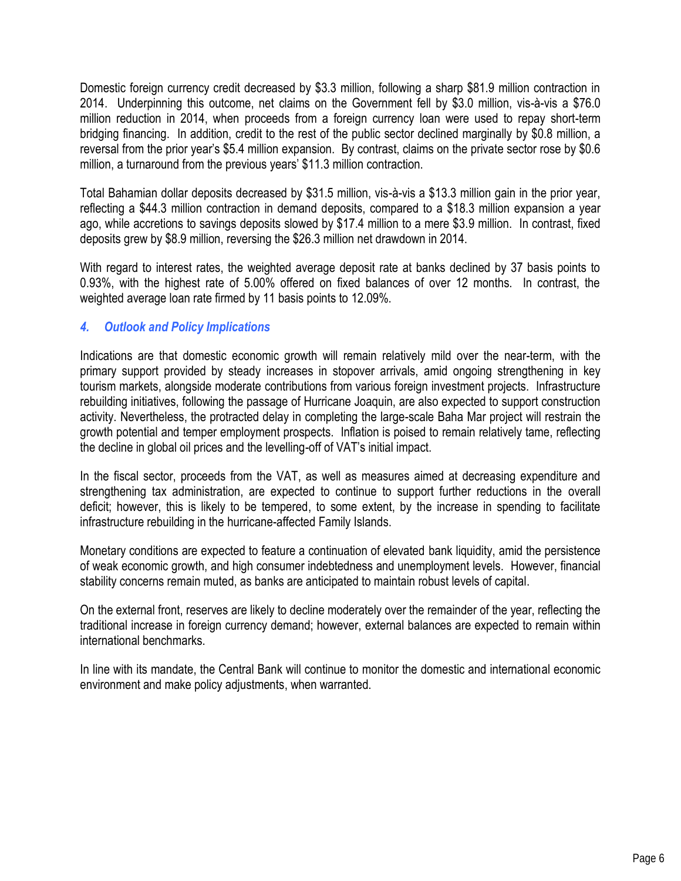Domestic foreign currency credit decreased by \$3.3 million, following a sharp \$81.9 million contraction in 2014. Underpinning this outcome, net claims on the Government fell by \$3.0 million, vis-à-vis a \$76.0 million reduction in 2014, when proceeds from a foreign currency loan were used to repay short-term bridging financing. In addition, credit to the rest of the public sector declined marginally by \$0.8 million, a reversal from the prior year's \$5.4 million expansion. By contrast, claims on the private sector rose by \$0.6 million, a turnaround from the previous years' \$11.3 million contraction.

Total Bahamian dollar deposits decreased by \$31.5 million, vis-à-vis a \$13.3 million gain in the prior year, reflecting a \$44.3 million contraction in demand deposits, compared to a \$18.3 million expansion a year ago, while accretions to savings deposits slowed by \$17.4 million to a mere \$3.9 million. In contrast, fixed deposits grew by \$8.9 million, reversing the \$26.3 million net drawdown in 2014.

With regard to interest rates, the weighted average deposit rate at banks declined by 37 basis points to 0.93%, with the highest rate of 5.00% offered on fixed balances of over 12 months. In contrast, the weighted average loan rate firmed by 11 basis points to 12.09%.

### *4. Outlook and Policy Implications*

Indications are that domestic economic growth will remain relatively mild over the near-term, with the primary support provided by steady increases in stopover arrivals, amid ongoing strengthening in key tourism markets, alongside moderate contributions from various foreign investment projects. Infrastructure rebuilding initiatives, following the passage of Hurricane Joaquin, are also expected to support construction activity. Nevertheless, the protracted delay in completing the large-scale Baha Mar project will restrain the growth potential and temper employment prospects. Inflation is poised to remain relatively tame, reflecting the decline in global oil prices and the levelling-off of VAT's initial impact.

In the fiscal sector, proceeds from the VAT, as well as measures aimed at decreasing expenditure and strengthening tax administration, are expected to continue to support further reductions in the overall deficit; however, this is likely to be tempered, to some extent, by the increase in spending to facilitate infrastructure rebuilding in the hurricane-affected Family Islands.

Monetary conditions are expected to feature a continuation of elevated bank liquidity, amid the persistence of weak economic growth, and high consumer indebtedness and unemployment levels. However, financial stability concerns remain muted, as banks are anticipated to maintain robust levels of capital.

On the external front, reserves are likely to decline moderately over the remainder of the year, reflecting the traditional increase in foreign currency demand; however, external balances are expected to remain within international benchmarks.

In line with its mandate, the Central Bank will continue to monitor the domestic and international economic environment and make policy adjustments, when warranted.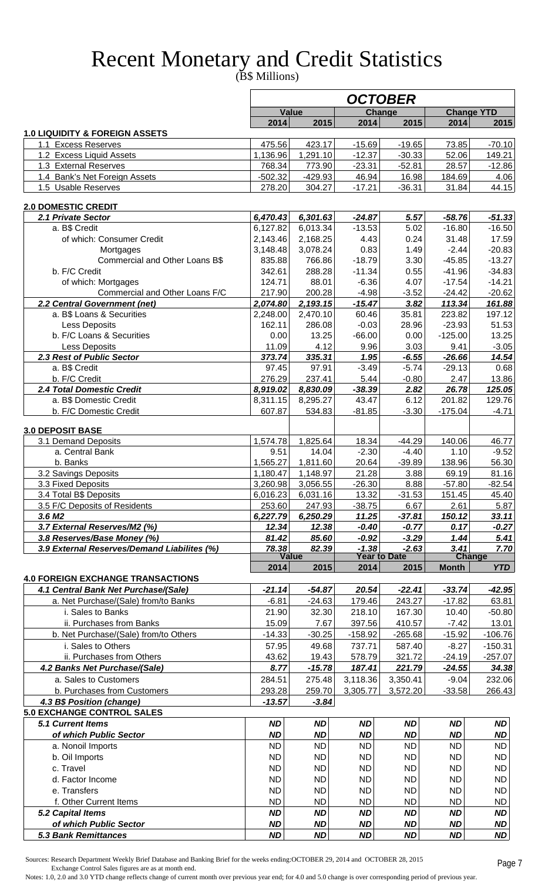# Recent Monetary and Credit Statistics

(B\$ Millions)

|                                                                                  |                        |                        |                        | <b>OCTOBER</b>         |                        |                        |
|----------------------------------------------------------------------------------|------------------------|------------------------|------------------------|------------------------|------------------------|------------------------|
|                                                                                  |                        | <b>Value</b>           |                        | Change                 |                        | <b>Change YTD</b>      |
|                                                                                  | 2014                   | 2015                   | 2014                   | 2015                   | 2014                   | 2015                   |
| <b>1.0 LIQUIDITY &amp; FOREIGN ASSETS</b>                                        |                        |                        |                        |                        |                        |                        |
| 1.1 Excess Reserves<br>1.2 Excess Liquid Assets                                  | 475.56<br>1,136.96     | 423.17<br>1,291.10     | $-15.69$<br>$-12.37$   | $-19.65$<br>$-30.33$   | 73.85<br>52.06         | $-70.10$<br>149.21     |
| 1.3 External Reserves                                                            | 768.34                 | 773.90                 | $-23.31$               | $-52.81$               | 28.57                  | $-12.86$               |
| 1.4 Bank's Net Foreign Assets                                                    | $-502.32$              | $-429.93$              | 46.94                  | 16.98                  | 184.69                 | 4.06                   |
| 1.5 Usable Reserves                                                              | 278.20                 | 304.27                 | $-17.21$               | $-36.31$               | 31.84                  | 44.15                  |
|                                                                                  |                        |                        |                        |                        |                        |                        |
| <b>2.0 DOMESTIC CREDIT</b>                                                       |                        |                        |                        |                        |                        |                        |
| 2.1 Private Sector<br>a. B\$ Credit                                              | 6,470.43               | 6,301.63<br>6,013.34   | $-24.87$<br>$-13.53$   | 5.57<br>5.02           | $-58.76$<br>$-16.80$   | $-51.33$<br>$-16.50$   |
| of which: Consumer Credit                                                        | 6,127.82<br>2,143.46   | 2,168.25               | 4.43                   | 0.24                   | 31.48                  | 17.59                  |
| Mortgages                                                                        | 3,148.48               | 3,078.24               | 0.83                   | 1.49                   | $-2.44$                | $-20.83$               |
| Commercial and Other Loans B\$                                                   | 835.88                 | 766.86                 | $-18.79$               | 3.30                   | $-45.85$               | $-13.27$               |
| b. F/C Credit                                                                    | 342.61                 | 288.28                 | $-11.34$               | 0.55                   | $-41.96$               | $-34.83$               |
| of which: Mortgages                                                              | 124.71                 | 88.01                  | $-6.36$                | 4.07                   | $-17.54$               | $-14.21$               |
| Commercial and Other Loans F/C                                                   | 217.90                 | 200.28                 | $-4.98$                | $-3.52$                | $-24.42$               | $-20.62$               |
| 2.2 Central Government (net)                                                     | 2,074.80               | 2,193.15               | $-15.47$               | 3.82                   | 113.34                 | 161.88                 |
| a. B\$ Loans & Securities                                                        | 2,248.00               | 2,470.10               | 60.46                  | 35.81                  | 223.82                 | 197.12                 |
| Less Deposits<br>b. F/C Loans & Securities                                       | 162.11<br>0.00         | 286.08<br>13.25        | $-0.03$<br>$-66.00$    | 28.96<br>0.00          | $-23.93$<br>$-125.00$  | 51.53<br>13.25         |
| Less Deposits                                                                    | 11.09                  | 4.12                   | 9.96                   | 3.03                   | 9.41                   | $-3.05$                |
| 2.3 Rest of Public Sector                                                        | 373.74                 | 335.31                 | 1.95                   | $-6.55$                | $-26.66$               | 14.54                  |
| a. B\$ Credit                                                                    | 97.45                  | 97.91                  | $-3.49$                | $-5.74$                | $-29.13$               | 0.68                   |
| b. F/C Credit                                                                    | 276.29                 | 237.41                 | 5.44                   | $-0.80$                | 2.47                   | 13.86                  |
| 2.4 Total Domestic Credit                                                        | 8,919.02               | 8,830.09               | $-38.39$               | 2.82                   | 26.78                  | 125.05                 |
| a. B\$ Domestic Credit                                                           | 8,311.15               | 8,295.27               | 43.47                  | 6.12                   | 201.82                 | 129.76                 |
| b. F/C Domestic Credit                                                           | 607.87                 | 534.83                 | $-81.85$               | $-3.30$                | $-175.04$              | $-4.71$                |
| <b>3.0 DEPOSIT BASE</b>                                                          |                        |                        |                        |                        |                        |                        |
| 3.1 Demand Deposits                                                              | 1,574.78               | 1,825.64               | 18.34                  | $-44.29$               | 140.06                 | 46.77                  |
| a. Central Bank                                                                  | 9.51                   | 14.04                  | $-2.30$                | $-4.40$                | 1.10                   | $-9.52$                |
| b. Banks                                                                         | 1,565.27               | 1,811.60               | 20.64                  | $-39.89$               | 138.96                 | 56.30                  |
| 3.2 Savings Deposits                                                             | 1,180.47               | 1,148.97               | 21.28                  | 3.88                   | 69.19                  | 81.16                  |
| 3.3 Fixed Deposits                                                               | 3,260.98               | 3,056.55               | -26.30                 | 8.88                   | $-57.80$               | $-82.54$               |
| 3.4 Total B\$ Deposits                                                           | 6,016.23               | 6,031.16               | 13.32                  | $-31.53$               | 151.45                 | 45.40                  |
| 3.5 F/C Deposits of Residents                                                    | 253.60                 | 247.93                 | $-38.75$               | 6.67                   | 2.61                   | 5.87                   |
| 3.6 M <sub>2</sub><br>3.7 External Reserves/M2 (%)                               | 6,227.79<br>12.34      | 6,250.29<br>12.38      | 11.25<br>$-0.40$       | $-37.81$<br>$-0.77$    | 150.12<br>0.17         | 33.11<br>$-0.27$       |
| 3.8 Reserves/Base Money (%)                                                      | 81.42                  | 85.60                  | $-0.92$                | $-3.29$                | 1.44                   | 5.41                   |
| 3.9 External Reserves/Demand Liabilites (%)                                      | 78.38                  | 82.39                  | $-1.38$                | $-2.63$                | 3.41                   | 7.70                   |
|                                                                                  |                        | <b>Value</b>           |                        | <b>Year to Date</b>    |                        | <b>Change</b>          |
|                                                                                  | 2014                   | 2015                   | 2014                   | 2015                   | <b>Month</b>           | <b>YTD</b>             |
| <b>4.0 FOREIGN EXCHANGE TRANSACTIONS</b><br>4.1 Central Bank Net Purchase/(Sale) | $-21.14$               | $-54.87$               | 20.54                  | $-22.41$               | $-33.74$               | $-42.95$               |
| a. Net Purchase/(Sale) from/to Banks                                             | $-6.81$                | $-24.63$               | 179.46                 | 243.27                 | $-17.82$               | 63.81                  |
| i. Sales to Banks                                                                | 21.90                  | 32.30                  | 218.10                 | 167.30                 | 10.40                  | $-50.80$               |
| ii. Purchases from Banks                                                         | 15.09                  | 7.67                   | 397.56                 | 410.57                 | $-7.42$                | 13.01                  |
| b. Net Purchase/(Sale) from/to Others                                            | $-14.33$               | $-30.25$               | $-158.92$              | $-265.68$              | $-15.92$               | $-106.76$              |
| i. Sales to Others                                                               | 57.95                  | 49.68                  | 737.71                 | 587.40                 | $-8.27$                | $-150.31$              |
| ii. Purchases from Others                                                        | 43.62                  | 19.43                  | 578.79                 | 321.72                 | $-24.19$               | $-257.07$              |
| 4.2 Banks Net Purchase/(Sale)                                                    | 8.77                   | $-15.78$               | 187.41                 | 221.79                 | $-24.55$               | 34.38                  |
| a. Sales to Customers                                                            | 284.51                 | 275.48                 | 3,118.36               | 3,350.41               | $-9.04$                | 232.06                 |
| b. Purchases from Customers                                                      | 293.28                 | 259.70                 | 3,305.77               | 3,572.20               | $-33.58$               | 266.43                 |
| 4.3 B\$ Position (change)                                                        | $-13.57$               | $-3.84$                |                        |                        |                        |                        |
| <b>5.0 EXCHANGE CONTROL SALES</b>                                                |                        |                        |                        |                        |                        |                        |
| <b>5.1 Current Items</b>                                                         | <b>ND</b>              | <b>ND</b>              | <b>ND</b>              | <b>ND</b>              | <b>ND</b>              | <b>ND</b>              |
| of which Public Sector                                                           | <b>ND</b><br><b>ND</b> | <b>ND</b><br><b>ND</b> | <b>ND</b><br><b>ND</b> | <b>ND</b><br><b>ND</b> | <b>ND</b><br><b>ND</b> | <b>ND</b><br><b>ND</b> |
| a. Nonoil Imports<br>b. Oil Imports                                              | <b>ND</b>              | <b>ND</b>              | <b>ND</b>              | <b>ND</b>              | <b>ND</b>              | <b>ND</b>              |
| c. Travel                                                                        | <b>ND</b>              | <b>ND</b>              | <b>ND</b>              | <b>ND</b>              | <b>ND</b>              | <b>ND</b>              |
| d. Factor Income                                                                 | <b>ND</b>              | <b>ND</b>              | <b>ND</b>              | <b>ND</b>              | <b>ND</b>              | <b>ND</b>              |
| e. Transfers                                                                     | <b>ND</b>              | <b>ND</b>              | <b>ND</b>              | <b>ND</b>              | <b>ND</b>              | <b>ND</b>              |
| f. Other Current Items                                                           | <b>ND</b>              | <b>ND</b>              | <b>ND</b>              | <b>ND</b>              | <b>ND</b>              | <b>ND</b>              |
| 5.2 Capital Items                                                                | <b>ND</b>              | <b>ND</b>              | <b>ND</b>              | <b>ND</b>              | <b>ND</b>              | <b>ND</b>              |
| of which Public Sector                                                           | <b>ND</b>              | <b>ND</b>              | <b>ND</b>              | <b>ND</b>              | <b>ND</b>              | <b>ND</b>              |
| <b>5.3 Bank Remittances</b>                                                      | <b>ND</b>              | <b>ND</b>              | <b>ND</b>              | <b>ND</b>              | <b>ND</b>              | <b>ND</b>              |

 Sources: Research Department Weekly Brief Database and Banking Brief for the weeks ending:OCTOBER 29, 2014 and OCTOBER 28, 2015 Exchange Control Sales figures are as at month end.

Notes: 1.0, 2.0 and 3.0 YTD change reflects change of current month over previous year end; for 4.0 and 5.0 change is over corresponding period of previous year.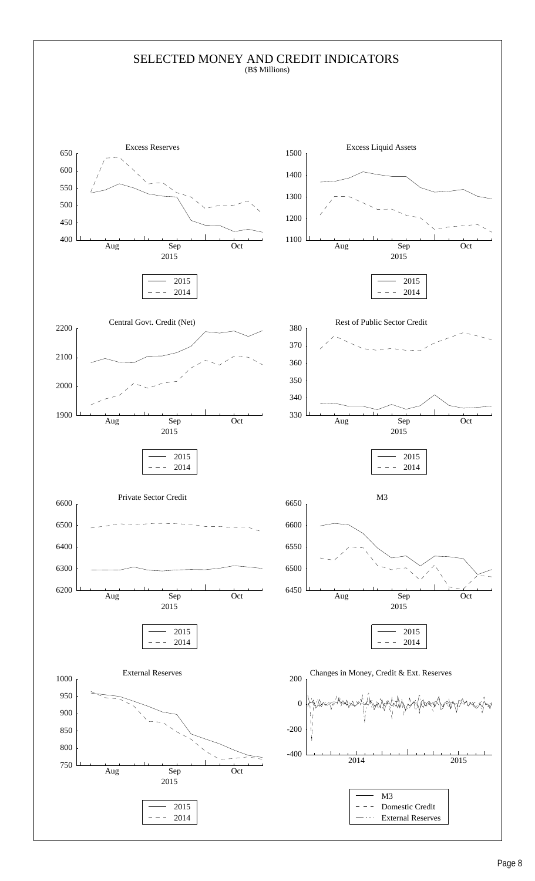#### SELECTED MONEY AND CREDIT INDICATORS (B\$ Millions)

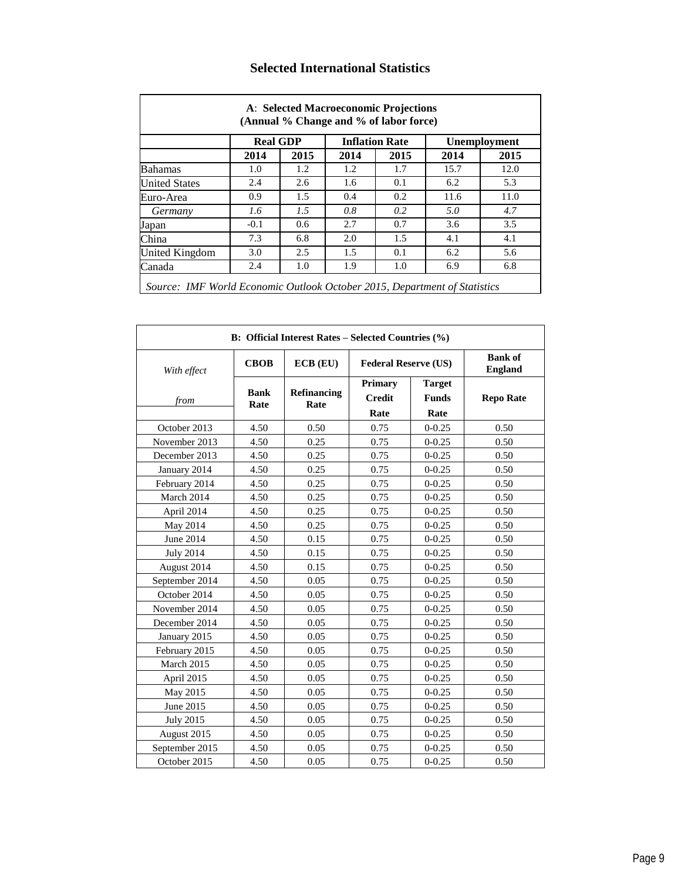|                      | <b>Real GDP</b> |      |      | <b>Inflation Rate</b> |      | <b>Unemployment</b> |
|----------------------|-----------------|------|------|-----------------------|------|---------------------|
|                      | 2014            | 2015 | 2014 | 2015                  | 2014 | 2015                |
| <b>Bahamas</b>       | 1.0             | 1.2  | 1.2  | 1.7                   | 15.7 | 12.0                |
| <b>United States</b> | 2.4             | 2.6  | 1.6  | 0.1                   | 6.2  | 5.3                 |
| Euro-Area            | 0.9             | 1.5  | 0.4  | 0.2                   | 11.6 | 11.0                |
| Germany              | 1.6             | 1.5  | 0.8  | 0.2                   | 5.0  | 4.7                 |
| Japan                | $-0.1$          | 0.6  | 2.7  | 0.7                   | 3.6  | 3.5                 |
| China                | 7.3             | 6.8  | 2.0  | 1.5                   | 4.1  | 4.1                 |
| United Kingdom       | 3.0             | 2.5  | 1.5  | 0.1                   | 6.2  | 5.6                 |
| Canada               | 2.4             | 1.0  | 1.9  | 1.0                   | 6.9  | 6.8                 |

## **Selected International Statistics**

|                  |                     | B: Official Interest Rates - Selected Countries (%) |                                  |                                       |                                  |
|------------------|---------------------|-----------------------------------------------------|----------------------------------|---------------------------------------|----------------------------------|
| With effect      | <b>CBOB</b>         | $ECB$ $(EU)$                                        | <b>Federal Reserve (US)</b>      |                                       | <b>Bank of</b><br><b>England</b> |
| from             | <b>Bank</b><br>Rate | Refinancing<br>Rate                                 | Primary<br><b>Credit</b><br>Rate | <b>Target</b><br><b>Funds</b><br>Rate | <b>Repo Rate</b>                 |
| October 2013     | 4.50                | 0.50                                                | 0.75                             | $0 - 0.25$                            | 0.50                             |
| November 2013    | 4.50                | 0.25                                                | 0.75                             | $0 - 0.25$                            | 0.50                             |
| December 2013    | 4.50                | 0.25                                                | 0.75                             | $0 - 0.25$                            | 0.50                             |
| January 2014     | 4.50                | 0.25                                                | 0.75                             | $0 - 0.25$                            | 0.50                             |
| February 2014    | 4.50                | 0.25                                                | 0.75                             | $0 - 0.25$                            | 0.50                             |
| March 2014       | 4.50                | 0.25                                                | 0.75                             | $0 - 0.25$                            | 0.50                             |
| April 2014       | 4.50                | 0.25                                                | 0.75                             | $0 - 0.25$                            | 0.50                             |
| May 2014         | 4.50                | 0.25                                                | 0.75                             | $0 - 0.25$                            | 0.50                             |
| June 2014        | 4.50                | 0.15                                                | 0.75                             | $0 - 0.25$                            | 0.50                             |
| <b>July 2014</b> | 4.50                | 0.15                                                | 0.75                             | $0 - 0.25$                            | 0.50                             |
| August 2014      | 4.50                | 0.15                                                | 0.75                             | $0 - 0.25$                            | 0.50                             |
| September 2014   | 4.50                | 0.05                                                | 0.75                             | $0 - 0.25$                            | 0.50                             |
| October 2014     | 4.50                | 0.05                                                | 0.75                             | $0 - 0.25$                            | 0.50                             |
| November 2014    | 4.50                | 0.05                                                | 0.75                             | $0 - 0.25$                            | 0.50                             |
| December 2014    | 4.50                | 0.05                                                | 0.75                             | $0 - 0.25$                            | 0.50                             |
| January 2015     | 4.50                | 0.05                                                | 0.75                             | $0 - 0.25$                            | 0.50                             |
| February 2015    | 4.50                | 0.05                                                | 0.75                             | $0 - 0.25$                            | 0.50                             |
| March 2015       | 4.50                | 0.05                                                | 0.75                             | $0 - 0.25$                            | 0.50                             |
| April 2015       | 4.50                | 0.05                                                | 0.75                             | $0 - 0.25$                            | 0.50                             |
| May 2015         | 4.50                | 0.05                                                | 0.75                             | $0 - 0.25$                            | 0.50                             |
| June 2015        | 4.50                | 0.05                                                | 0.75                             | $0 - 0.25$                            | 0.50                             |
| <b>July 2015</b> | 4.50                | 0.05                                                | 0.75                             | $0 - 0.25$                            | 0.50                             |
| August 2015      | 4.50                | 0.05                                                | 0.75                             | $0 - 0.25$                            | 0.50                             |
| September 2015   | 4.50                | 0.05                                                | 0.75                             | $0 - 0.25$                            | 0.50                             |
| October 2015     | 4.50                | 0.05                                                | 0.75                             | $0 - 0.25$                            | 0.50                             |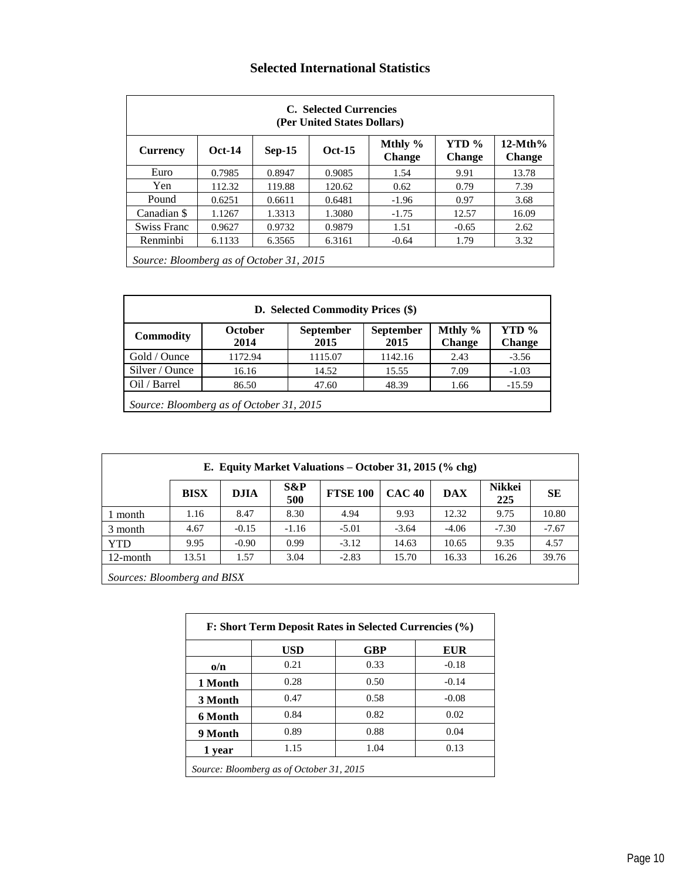## **Selected International Statistics**

|                                          |          |          | C. Selected Currencies<br>(Per United States Dollars) |                          |                        |                            |
|------------------------------------------|----------|----------|-------------------------------------------------------|--------------------------|------------------------|----------------------------|
| <b>Currency</b>                          | $Oct-14$ | $Sep-15$ | $Oct-15$                                              | Mthly %<br><b>Change</b> | YTD %<br><b>Change</b> | $12-Mth%$<br><b>Change</b> |
| Euro                                     | 0.7985   | 0.8947   | 0.9085                                                | 1.54                     | 9.91                   | 13.78                      |
| Yen                                      | 112.32   | 119.88   | 120.62                                                | 0.62                     | 0.79                   | 7.39                       |
| Pound                                    | 0.6251   | 0.6611   | 0.6481                                                | $-1.96$                  | 0.97                   | 3.68                       |
| Canadian \$                              | 1.1267   | 1.3313   | 1.3080                                                | $-1.75$                  | 12.57                  | 16.09                      |
| <b>Swiss Franc</b>                       | 0.9627   | 0.9732   | 0.9879                                                | 1.51                     | $-0.65$                | 2.62                       |
| Renminbi                                 | 6.1133   | 6.3565   | 6.3161                                                | $-0.64$                  | 1.79                   | 3.32                       |
| Source: Bloomberg as of October 31, 2015 |          |          |                                                       |                          |                        |                            |

|                  |                                          | D. Selected Commodity Prices (\$) |                   |                          |                        |
|------------------|------------------------------------------|-----------------------------------|-------------------|--------------------------|------------------------|
| <b>Commodity</b> | October<br>2014                          | <b>September</b><br>2015          | September<br>2015 | Mthly %<br><b>Change</b> | YTD %<br><b>Change</b> |
| Gold / Ounce     | 1172.94                                  | 1115.07                           | 1142.16           | 2.43                     | $-3.56$                |
| Silver / Ounce   | 16.16                                    | 14.52                             | 15.55             | 7.09                     | $-1.03$                |
| Oil / Barrel     | 86.50                                    | 47.60                             | 48.39             | 1.66                     | $-15.59$               |
|                  | Source: Bloomberg as of October 31, 2015 |                                   |                   |                          |                        |

|                         |              |                                        |               | E. Equity Market Valuations – October 31, 2015 (% chg) |               |            |                      |           |
|-------------------------|--------------|----------------------------------------|---------------|--------------------------------------------------------|---------------|------------|----------------------|-----------|
|                         | <b>BISX</b>  | <b>DJIA</b>                            | $S\&P$<br>500 | <b>FTSE 100</b>                                        | <b>CAC 40</b> | <b>DAX</b> | <b>Nikkei</b><br>225 | <b>SE</b> |
| l month                 | 1.16         | 8.47                                   | 8.30          | 4.94                                                   | 9.93          | 12.32      | 9.75                 | 10.80     |
| 3 month                 | 4.67         | $-0.15$                                | $-1.16$       | $-5.01$                                                | $-3.64$       | $-4.06$    | $-7.30$              | $-7.67$   |
| <b>YTD</b>              | 9.95         | $-0.90$                                | 0.99          | $-3.12$                                                | 14.63         | 10.65      | 9.35                 | 4.57      |
| 12-month                | 13.51        | 1.57                                   | 3.04          | $-2.83$                                                | 15.70         | 16.33      | 16.26                | 39.76     |
| $\sim$<br>$\sim$ $\sim$ | $\mathbf{r}$ | $\mathbf{r}$ $\mathbf{r}$ $\mathbf{r}$ |               |                                                        |               |            |                      |           |

*Sources: Bloomberg and BISX*

|            | <b>USD</b> | <b>GBP</b> | EUR     |
|------------|------------|------------|---------|
| $\alpha/n$ | 0.21       | 0.33       | $-0.18$ |
| 1 Month    | 0.28       | 0.50       | $-0.14$ |
| 3 Month    | 0.47       | 0.58       | $-0.08$ |
| 6 Month    | 0.84       | 0.82       | 0.02    |
| 9 Month    | 0.89       | 0.88       | 0.04    |
| 1 year     | 1.15       | 1.04       | 0.13    |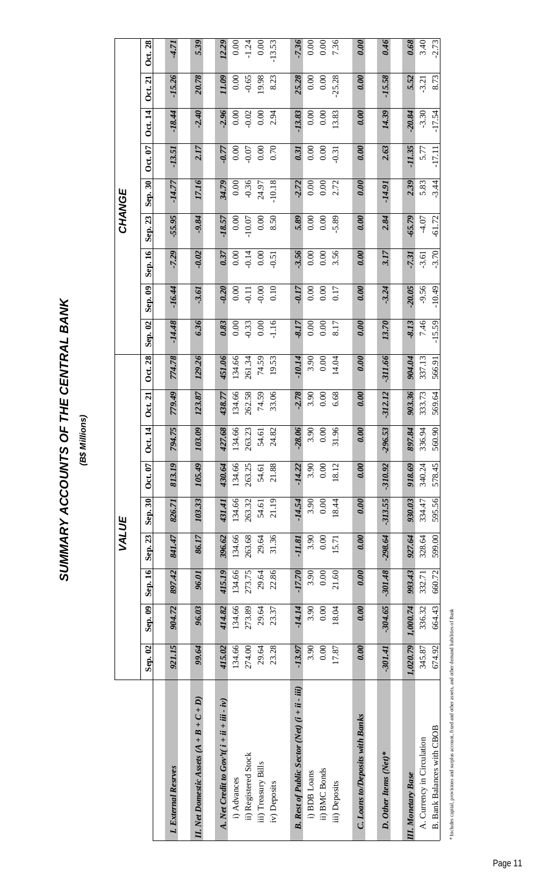SUMMARY ACCOUNTS OF THE CENTRAL BANK **SUMMARY ACCOUNTS OF THE CENTRAL BANK**

(B\$ Millions) **(B\$ Millions)**

|                                                                     |           |                   |           | VALUE     |                   |                |                |                |           |          |          |         | CHANGE   |          |                |                |                |          |
|---------------------------------------------------------------------|-----------|-------------------|-----------|-----------|-------------------|----------------|----------------|----------------|-----------|----------|----------|---------|----------|----------|----------------|----------------|----------------|----------|
|                                                                     | Sep. 02   | $\mathbf{Sep.09}$ | Sep. 16   | Sep. 23   | $\mathbf{Sep.30}$ | <b>Oct. 07</b> | <b>Oct.</b> 14 | <b>Oct. 21</b> | Oct. 28   | Sep. 02  | Sep. 09  | Sep. 16 | Sep. 23  | Sep. 30  | <b>Oct. 07</b> | <b>Oct.</b> 14 | <b>Oct. 21</b> | Oct. 28  |
|                                                                     |           |                   |           |           |                   |                |                |                |           |          |          |         |          |          |                |                |                |          |
| <b>xternal Resrves</b><br>I.E.                                      | 921.15    | 904.72            | 897.42    | 841.47    | 826.71            | 813.19         | 794.75         | 779.49         | 774.78    | $-14.48$ | $-16.44$ | $-7.29$ | $-55.95$ | $-14.77$ | $-13.51$       | $-18.44$       | $-15.26$       | $-4.71$  |
| et Domestic Assets $(A + B + C + D)$<br>$U.$ Ne                     | 99.64     | 96.03             | 96.01     | 86.17     | 103.33            | 105.49         | 103.09         | 123.87         | 129.26    | 6.36     | $-3.61$  | $-0.02$ | $-9.84$  | 17.16    | 2.17           | $-2.40$        | 20.78          | 5.39     |
| Net Credit to $Gov'$ t $(i + ii + iii - iv)$                        | 415.02    | 414.82            | 415.19    | 396.62    | 431.41            | 430.64         | 427.68         | 438.77         | 451.06    | 0.83     | $-0.20$  | 0.37    | $-18.57$ | 34.79    | $-0.77$        | $-2.96$        | 11.09          | 12.29    |
| i) Advances                                                         | 134.66    | 134.66            | 134.66    | 134.66    | 134.66            | 134.66         | 134.66         | 134.66         | 134.66    | 0.00     | 0.00     | 0.00    | 0.00     | 0.00     | 0.00           | 0.00           | 0.00           | 0.00     |
| ii) Registered Stock                                                | 274.00    | 273.89            | 273.75    | 263.68    | 263.32            | 263.25         | 263.23         | 262.58         | 261.34    | $-0.33$  | $-0.11$  | $-0.14$ | $-10.07$ | $-0.36$  | $-0.07$        | $-0.02$        | $-0.65$        | $-1.24$  |
| iii) Treasury Bills                                                 | 29.64     | 29.64             | 29.64     | 29.64     | 54.61             | 54.61          | 54.61          | 74.59          | 74.59     | $0.00\,$ | $-0.00$  | 0.00    | 0.00     | 24.97    | 0.00           | 0.00           | 19.98          | 0.00     |
| iv) Deposits                                                        | 23.28     | 23.37             | 22.86     | 31.36     | 21.19             | 21.88          | 24.82          | 33.06          | 19.53     | $-1.16$  | 0.10     | $-0.51$ | 8.50     | $-10.18$ | 0.70           | 2.94           | 8.23           | $-13.53$ |
|                                                                     |           |                   |           |           |                   |                |                |                |           |          |          |         |          |          |                |                |                |          |
| Rest of Public Sector (Net) (i + ii - iii)<br>$\boldsymbol{\omega}$ | $-13.97$  | $-14.14$          | $-17.70$  | -11.81    | $-14.54$          | $-14.22$       | $-28.06$       | $-2.78$        | $-10.14$  | -8.17    | $-0.17$  | 3.56    | 5.89     | $-2.72$  | 0.31           | $-13.83$       | 25.28          | $-7.36$  |
| i) BDB Loans                                                        | 3.90      | 3.90              | 3.90      | 3.90      | 3.90              | 3.90           | 3.90           | 3.90           | 3.90      | 0.00     | 0.00     | 0.00    | 0.00     | 0.00     | 0.00           | 0.00           | 0.00           | 0.00     |
| i) BMC Bonds                                                        | 0.00      | 0.00              | 0.00      | 0.00      | 0.00              | 0.00           | 0.00           | 0.00           | 0.00      | $0.00\,$ | 0.00     | 0.00    | 0.00     | 0.00     | 0.00           | 0.00           | 0.00           | 0.00     |
| iii) Deposits                                                       | 17.87     | 18.04             | 21.60     | 15.71     | 18.44             | 18.12          | 31.96          | 6.68           | 14.04     | 8.17     | 0.17     | 3.56    | 5.89     | 2.72     | $-0.31$        | 13.83          | $-25.28$       | 7.36     |
|                                                                     |           |                   |           |           |                   |                |                |                |           |          |          |         |          |          |                |                |                |          |
| <b>Loans to/Deposits with Banks</b><br>ن                            | 0.00      | 0.00              | 0.00      | 0.00      | 0.00              | 0.00           | 0.00           | 0.00           | 0.00      | 0.00     | 0.00     | 0.00    | 0.00     | 0.00     | 0.00           | 0.00           | 0.00           | 0.00     |
|                                                                     |           |                   |           |           |                   |                |                |                |           |          |          |         |          |          |                |                |                |          |
| Other Items (Net)*<br>S.                                            | $-301.41$ | $-304.65$         | $-301.48$ | $-298.64$ | $-313.55$         | $-310.92$      | $-296.53$      | $-312.12$      | $-311.66$ | 13.70    | $-3.24$  | 3.17    | 2.84     | -14.91   | 2.63           | 14.39          | $-15.58$       | 0.46     |
|                                                                     |           |                   |           |           |                   |                |                |                |           |          |          |         |          |          |                |                |                |          |
| <b>Ionetary Base</b><br>II. M                                       | 1,020.79  | 1,000.74          | 993.43    | 927.64    | 930.03            | 918.69         | 897.84         | 903.36         | 904.04    | $-8.13$  | $-20.05$ | $-7.31$ | $-65.79$ | 2.39     | $-11.35$       | $-20.84$       | 5.52           | 0.68     |
| Currency in Circulation<br>$\dot{A}$ .                              | 345.87    | 336.32            | 332.71    | 328.64    | 334.47            | 340.24         | 336.94         | 333.73         | 337.13    | 7.46     | $-9.56$  | $-3.61$ | $-4.07$  | 5.83     | 5.77           | $-3.30$        | $-3.21$        | 3.40     |
| Bank Balances with CBOB<br>$\dot{\Xi}$                              | 674.92    | 664.43            | 660.72    | 599.00    | 595.56            | 578.45         | 560.90         | 569.64         | 566.91    | $-15.59$ | $-10.49$ | $-3.70$ | $-61.72$ | $-3.44$  | $-17.11$       | $-17.54$       | 8.73           | $-2.73$  |

\* Includes capital, provisions and surplus account, fixed and other assets, and other demand liabilities of Bank \* Includes capital, provisions and surplus account, fixed and other assets, and other demand liabilities of Bank